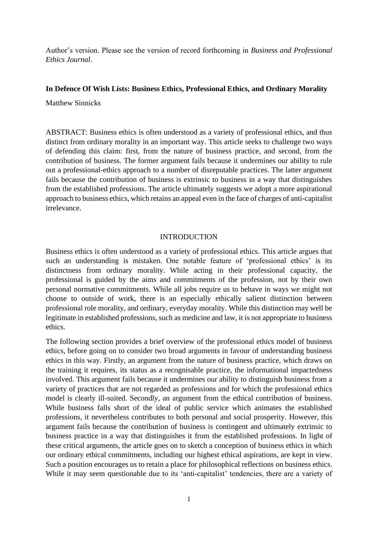Author's version. Please see the version of record forthcoming in *Business and Professional Ethics Journal*.

# **In Defence Of Wish Lists: Business Ethics, Professional Ethics, and Ordinary Morality**

Matthew Sinnicks

ABSTRACT: Business ethics is often understood as a variety of professional ethics, and thus distinct from ordinary morality in an important way. This article seeks to challenge two ways of defending this claim: first, from the nature of business practice, and second, from the contribution of business. The former argument fails because it undermines our ability to rule out a professional-ethics approach to a number of disreputable practices. The latter argument fails because the contribution of business is extrinsic to business in a way that distinguishes from the established professions. The article ultimately suggests we adopt a more aspirational approach to business ethics, which retains an appeal even in the face of charges of anti-capitalist irrelevance.

### INTRODUCTION

Business ethics is often understood as a variety of professional ethics. This article argues that such an understanding is mistaken. One notable feature of 'professional ethics' is its distinctness from ordinary morality. While acting in their professional capacity, the professional is guided by the aims and commitments of the profession, not by their own personal normative commitments. While all jobs require us to behave in ways we might not choose to outside of work, there is an especially ethically salient distinction between professional role morality, and ordinary, everyday morality. While this distinction may well be legitimate in established professions, such as medicine and law, it is not appropriate to business ethics.

The following section provides a brief overview of the professional ethics model of business ethics, before going on to consider two broad arguments in favour of understanding business ethics in this way. Firstly, an argument from the nature of business practice, which draws on the training it requires, its status as a recognisable practice, the informational impactedness involved. This argument fails because it undermines our ability to distinguish business from a variety of practices that are not regarded as professions and for which the professional ethics model is clearly ill-suited. Secondly, an argument from the ethical contribution of business. While business falls short of the ideal of public service which animates the established professions, it nevertheless contributes to both personal and social prosperity. However, this argument fails because the contribution of business is contingent and ultimately extrinsic to business practice in a way that distinguishes it from the established professions. In light of these critical arguments, the article goes on to sketch a conception of business ethics in which our ordinary ethical commitments, including our highest ethical aspirations, are kept in view. Such a position encourages us to retain a place for philosophical reflections on business ethics. While it may seem questionable due to its 'anti-capitalist' tendencies, there are a variety of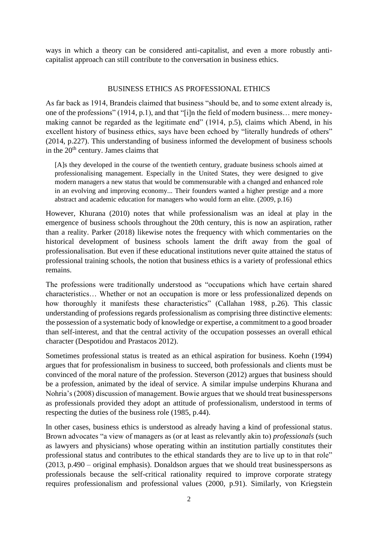ways in which a theory can be considered anti-capitalist, and even a more robustly anticapitalist approach can still contribute to the conversation in business ethics.

### BUSINESS ETHICS AS PROFESSIONAL ETHICS

As far back as 1914, Brandeis claimed that business "should be, and to some extent already is, one of the professions" (1914, p.1), and that "[i]n the field of modern business… mere moneymaking cannot be regarded as the legitimate end" (1914, p.5), claims which Abend, in his excellent history of business ethics, says have been echoed by "literally hundreds of others" (2014, p.227). This understanding of business informed the development of business schools in the  $20<sup>th</sup>$  century. James claims that

[A]s they developed in the course of the twentieth century, graduate business schools aimed at professionalising management. Especially in the United States, they were designed to give modern managers a new status that would be commensurable with a changed and enhanced role in an evolving and improving economy... Their founders wanted a higher prestige and a more abstract and academic education for managers who would form an elite. (2009, p.16)

However, Khurana (2010) notes that while professionalism was an ideal at play in the emergence of business schools throughout the 20th century, this is now an aspiration, rather than a reality. Parker (2018) likewise notes the frequency with which commentaries on the historical development of business schools lament the drift away from the goal of professionalisation. But even if these educational institutions never quite attained the status of professional training schools, the notion that business ethics is a variety of professional ethics remains.

The professions were traditionally understood as "occupations which have certain shared characteristics… Whether or not an occupation is more or less professionalized depends on how thoroughly it manifests these characteristics" (Callahan 1988, p.26). This classic understanding of professions regards professionalism as comprising three distinctive elements: the possession of a systematic body of knowledge or expertise, a commitment to a good broader than self-interest, and that the central activity of the occupation possesses an overall ethical character (Despotidou and Prastacos 2012).

Sometimes professional status is treated as an ethical aspiration for business. Koehn (1994) argues that for professionalism in business to succeed, both professionals and clients must be convinced of the moral nature of the profession. Steverson (2012) argues that business should be a profession, animated by the ideal of service. A similar impulse underpins Khurana and Nohria's (2008) discussion of management. Bowie argues that we should treat businesspersons as professionals provided they adopt an attitude of professionalism, understood in terms of respecting the duties of the business role (1985, p.44).

In other cases, business ethics is understood as already having a kind of professional status. Brown advocates "a view of managers as (or at least as relevantly akin to) *professionals* (such as lawyers and physicians) whose operating within an institution partially constitutes their professional status and contributes to the ethical standards they are to live up to in that role" (2013, p.490 – original emphasis). Donaldson argues that we should treat businesspersons as professionals because the self-critical rationality required to improve corporate strategy requires professionalism and professional values (2000, p.91). Similarly, von Kriegstein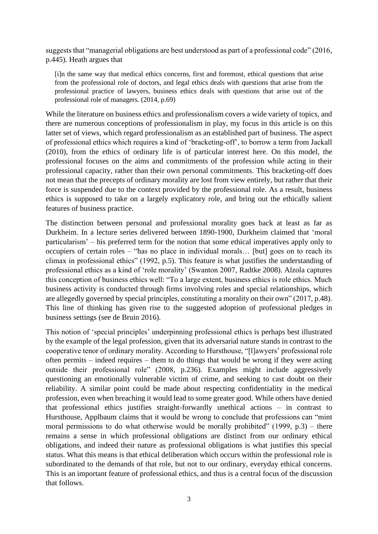suggests that "managerial obligations are best understood as part of a professional code" (2016, p.445). Heath argues that

[i]n the same way that medical ethics concerns, first and foremost, ethical questions that arise from the professional role of doctors, and legal ethics deals with questions that arise from the professional practice of lawyers, business ethics deals with questions that arise out of the professional role of managers. (2014, p.69)

While the literature on business ethics and professionalism covers a wide variety of topics, and there are numerous conceptions of professionalism in play, my focus in this article is on this latter set of views, which regard professionalism as an established part of business. The aspect of professional ethics which requires a kind of 'bracketing-off', to borrow a term from Jackall (2010), from the ethics of ordinary life is of particular interest here. On this model, the professional focuses on the aims and commitments of the profession while acting in their professional capacity, rather than their own personal commitments. This bracketing-off does not mean that the precepts of ordinary morality are lost from view entirely, but rather that their force is suspended due to the context provided by the professional role. As a result, business ethics is supposed to take on a largely explicatory role, and bring out the ethically salient features of business practice.

The distinction between personal and professional morality goes back at least as far as Durkheim. In a lecture series delivered between 1890-1900, Durkheim claimed that 'moral particularism' – his preferred term for the notion that some ethical imperatives apply only to occupiers of certain roles – "has no place in individual morals… [but] goes on to reach its climax in professional ethics" (1992, p.5). This feature is what justifies the understanding of professional ethics as a kind of 'role morality' (Swanton 2007, Radtke 2008). Alzola captures this conception of business ethics well: "To a large extent, business ethics is role ethics. Much business activity is conducted through firms involving roles and special relationships, which are allegedly governed by special principles, constituting a morality on their own" (2017, p.48). This line of thinking has given rise to the suggested adoption of professional pledges in business settings (see de Bruin 2016).

This notion of 'special principles' underpinning professional ethics is perhaps best illustrated by the example of the legal profession, given that its adversarial nature stands in contrast to the cooperative tenor of ordinary morality. According to Hursthouse, "[l]awyers' professional role often permits – indeed requires – them to do things that would be wrong if they were acting outside their professional role" (2008, p.236). Examples might include aggressively questioning an emotionally vulnerable victim of crime, and seeking to cast doubt on their reliability. A similar point could be made about respecting confidentiality in the medical profession, even when breaching it would lead to some greater good. While others have denied that professional ethics justifies straight-forwardly unethical actions – in contrast to Hursthouse, Applbaum claims that it would be wrong to conclude that professions can "mint moral permissions to do what otherwise would be morally prohibited"  $(1999, p.3)$  – there remains a sense in which professional obligations are distinct from our ordinary ethical obligations, and indeed their nature as professional obligations is what justifies this special status. What this means is that ethical deliberation which occurs within the professional role is subordinated to the demands of that role, but not to our ordinary, everyday ethical concerns. This is an important feature of professional ethics, and thus is a central focus of the discussion that follows.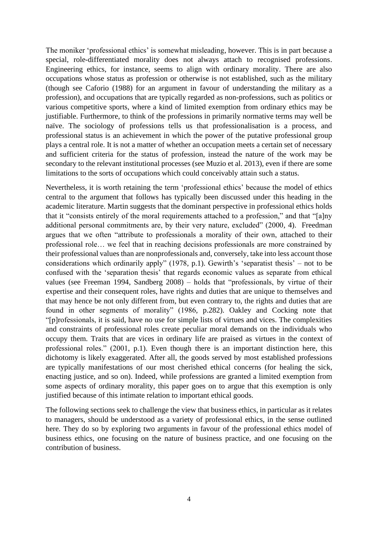The moniker 'professional ethics' is somewhat misleading, however. This is in part because a special, role-differentiated morality does not always attach to recognised professions. Engineering ethics, for instance, seems to align with ordinary morality. There are also occupations whose status as profession or otherwise is not established, such as the military (though see Caforio (1988) for an argument in favour of understanding the military as a profession), and occupations that are typically regarded as non-professions, such as politics or various competitive sports, where a kind of limited exemption from ordinary ethics may be justifiable. Furthermore, to think of the professions in primarily normative terms may well be naïve. The sociology of professions tells us that professionalisation is a process, and professional status is an achievement in which the power of the putative professional group plays a central role. It is not a matter of whether an occupation meets a certain set of necessary and sufficient criteria for the status of profession, instead the nature of the work may be secondary to the relevant institutional processes (see Muzio et al. 2013), even if there are some limitations to the sorts of occupations which could conceivably attain such a status.

Nevertheless, it is worth retaining the term 'professional ethics' because the model of ethics central to the argument that follows has typically been discussed under this heading in the academic literature. Martin suggests that the dominant perspective in professional ethics holds that it "consists entirely of the moral requirements attached to a profession," and that "[a]ny additional personal commitments are, by their very nature, excluded" (2000, 4). Freedman argues that we often "attribute to professionals a morality of their own, attached to their professional role… we feel that in reaching decisions professionals are more constrained by their professional values than are nonprofessionals and, conversely, take into less account those considerations which ordinarily apply" (1978, p.1). Gewirth's 'separatist thesis' – not to be confused with the 'separation thesis' that regards economic values as separate from ethical values (see Freeman 1994, Sandberg 2008) – holds that "professionals, by virtue of their expertise and their consequent roles, have rights and duties that are unique to themselves and that may hence be not only different from, but even contrary to, the rights and duties that are found in other segments of morality" (1986, p.282). Oakley and Cocking note that "[p]rofessionals, it is said, have no use for simple lists of virtues and vices. The complexities and constraints of professional roles create peculiar moral demands on the individuals who occupy them. Traits that are vices in ordinary life are praised as virtues in the context of professional roles." (2001, p.1). Even though there is an important distinction here, this dichotomy is likely exaggerated. After all, the goods served by most established professions are typically manifestations of our most cherished ethical concerns (for healing the sick, enacting justice, and so on). Indeed, while professions are granted a limited exemption from some aspects of ordinary morality, this paper goes on to argue that this exemption is only justified because of this intimate relation to important ethical goods.

The following sections seek to challenge the view that business ethics, in particular as it relates to managers, should be understood as a variety of professional ethics, in the sense outlined here. They do so by exploring two arguments in favour of the professional ethics model of business ethics, one focusing on the nature of business practice, and one focusing on the contribution of business.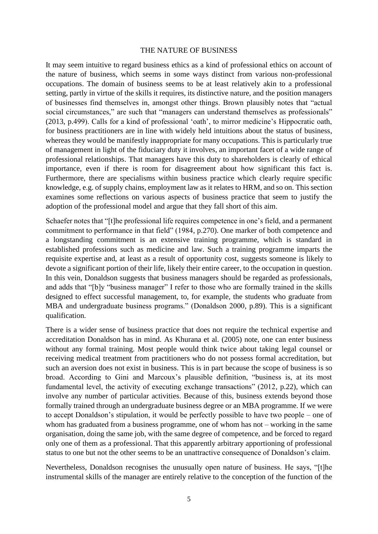#### THE NATURE OF BUSINESS

It may seem intuitive to regard business ethics as a kind of professional ethics on account of the nature of business, which seems in some ways distinct from various non-professional occupations. The domain of business seems to be at least relatively akin to a professional setting, partly in virtue of the skills it requires, its distinctive nature, and the position managers of businesses find themselves in, amongst other things. Brown plausibly notes that "actual social circumstances," are such that "managers can understand themselves as professionals" (2013, p.499). Calls for a kind of professional 'oath', to mirror medicine's Hippocratic oath, for business practitioners are in line with widely held intuitions about the status of business, whereas they would be manifestly inappropriate for many occupations. This is particularly true of management in light of the fiduciary duty it involves, an important facet of a wide range of professional relationships. That managers have this duty to shareholders is clearly of ethical importance, even if there is room for disagreement about how significant this fact is. Furthermore, there are specialisms within business practice which clearly require specific knowledge, e.g. of supply chains, employment law as it relates to HRM, and so on. This section examines some reflections on various aspects of business practice that seem to justify the adoption of the professional model and argue that they fall short of this aim.

Schaefer notes that "[t]he professional life requires competence in one's field, and a permanent commitment to performance in that field" (1984, p.270). One marker of both competence and a longstanding commitment is an extensive training programme, which is standard in established professions such as medicine and law. Such a training programme imparts the requisite expertise and, at least as a result of opportunity cost, suggests someone is likely to devote a significant portion of their life, likely their entire career, to the occupation in question. In this vein, Donaldson suggests that business managers should be regarded as professionals, and adds that "[b]y "business manager" I refer to those who are formally trained in the skills designed to effect successful management, to, for example, the students who graduate from MBA and undergraduate business programs." (Donaldson 2000, p.89). This is a significant qualification.

There is a wider sense of business practice that does not require the technical expertise and accreditation Donaldson has in mind. As Khurana et al. (2005) note, one can enter business without any formal training. Most people would think twice about taking legal counsel or receiving medical treatment from practitioners who do not possess formal accreditation, but such an aversion does not exist in business. This is in part because the scope of business is so broad. According to Gini and Marcoux's plausible definition, "business is, at its most fundamental level, the activity of executing exchange transactions" (2012, p.22), which can involve any number of particular activities. Because of this, business extends beyond those formally trained through an undergraduate business degree or an MBA programme. If we were to accept Donaldson's stipulation, it would be perfectly possible to have two people – one of whom has graduated from a business programme, one of whom has not – working in the same organisation, doing the same job, with the same degree of competence, and be forced to regard only one of them as a professional. That this apparently arbitrary apportioning of professional status to one but not the other seems to be an unattractive consequence of Donaldson's claim.

Nevertheless, Donaldson recognises the unusually open nature of business. He says, "[t]he instrumental skills of the manager are entirely relative to the conception of the function of the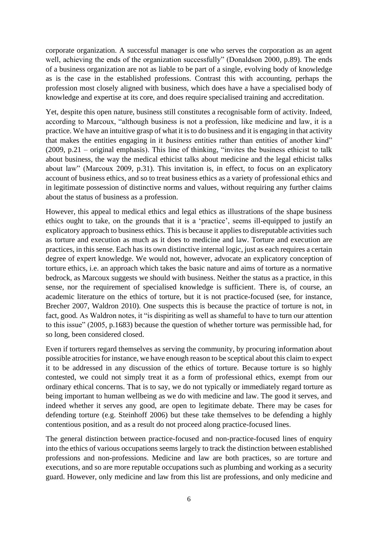corporate organization. A successful manager is one who serves the corporation as an agent well, achieving the ends of the organization successfully" (Donaldson 2000, p.89). The ends of a business organization are not as liable to be part of a single, evolving body of knowledge as is the case in the established professions. Contrast this with accounting, perhaps the profession most closely aligned with business, which does have a have a specialised body of knowledge and expertise at its core, and does require specialised training and accreditation.

Yet, despite this open nature, business still constitutes a recognisable form of activity. Indeed, according to Marcoux, "although business is not a profession, like medicine and law, it is a practice. We have an intuitive grasp of what it is to do business and it is engaging in that activity that makes the entities engaging in it *business* entities rather than entities of another kind" (2009, p.21 – original emphasis). This line of thinking, "invites the business ethicist to talk about business, the way the medical ethicist talks about medicine and the legal ethicist talks about law" (Marcoux 2009, p.31). This invitation is, in effect, to focus on an explicatory account of business ethics, and so to treat business ethics as a variety of professional ethics and in legitimate possession of distinctive norms and values, without requiring any further claims about the status of business as a profession.

However, this appeal to medical ethics and legal ethics as illustrations of the shape business ethics ought to take, on the grounds that it is a 'practice', seems ill-equipped to justify an explicatory approach to business ethics. This is because it applies to disreputable activities such as torture and execution as much as it does to medicine and law. Torture and execution are practices, in this sense. Each has its own distinctive internal logic, just as each requires a certain degree of expert knowledge. We would not, however, advocate an explicatory conception of torture ethics, i.e. an approach which takes the basic nature and aims of torture as a normative bedrock, as Marcoux suggests we should with business. Neither the status as a practice, in this sense, nor the requirement of specialised knowledge is sufficient. There is, of course, an academic literature on the ethics of torture, but it is not practice-focused (see, for instance, Brecher 2007, Waldron 2010). One suspects this is because the practice of torture is not, in fact, good. As Waldron notes, it "is dispiriting as well as shameful to have to turn our attention to this issue" (2005, p.1683) because the question of whether torture was permissible had, for so long, been considered closed.

Even if torturers regard themselves as serving the community, by procuring information about possible atrocities for instance, we have enough reason to be sceptical about this claim to expect it to be addressed in any discussion of the ethics of torture. Because torture is so highly contested, we could not simply treat it as a form of professional ethics, exempt from our ordinary ethical concerns. That is to say, we do not typically or immediately regard torture as being important to human wellbeing as we do with medicine and law. The good it serves, and indeed whether it serves any good, are open to legitimate debate. There may be cases for defending torture (e.g. Steinhoff 2006) but these take themselves to be defending a highly contentious position, and as a result do not proceed along practice-focused lines.

The general distinction between practice-focused and non-practice-focused lines of enquiry into the ethics of various occupations seems largely to track the distinction between established professions and non-professions. Medicine and law are both practices, so are torture and executions, and so are more reputable occupations such as plumbing and working as a security guard. However, only medicine and law from this list are professions, and only medicine and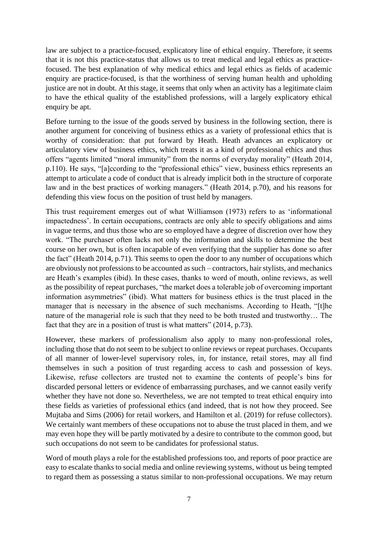law are subject to a practice-focused, explicatory line of ethical enquiry. Therefore, it seems that it is not this practice-status that allows us to treat medical and legal ethics as practicefocused. The best explanation of why medical ethics and legal ethics as fields of academic enquiry are practice-focused, is that the worthiness of serving human health and upholding justice are not in doubt. At this stage, it seems that only when an activity has a legitimate claim to have the ethical quality of the established professions, will a largely explicatory ethical enquiry be apt.

Before turning to the issue of the goods served by business in the following section, there is another argument for conceiving of business ethics as a variety of professional ethics that is worthy of consideration: that put forward by Heath. Heath advances an explicatory or articulatory view of business ethics, which treats it as a kind of professional ethics and thus offers "agents limited "moral immunity" from the norms of everyday morality" (Heath 2014, p.110). He says, "[a]ccording to the "professional ethics" view, business ethics represents an attempt to articulate a code of conduct that is already implicit both in the structure of corporate law and in the best practices of working managers." (Heath 2014, p.70), and his reasons for defending this view focus on the position of trust held by managers.

This trust requirement emerges out of what Williamson (1973) refers to as 'informational impactedness'. In certain occupations, contracts are only able to specify obligations and aims in vague terms, and thus those who are so employed have a degree of discretion over how they work. "The purchaser often lacks not only the information and skills to determine the best course on her own, but is often incapable of even verifying that the supplier has done so after the fact" (Heath 2014, p.71). This seems to open the door to any number of occupations which are obviously not professions to be accounted as such – contractors, hair stylists, and mechanics are Heath's examples (ibid). In these cases, thanks to word of mouth, online reviews, as well as the possibility of repeat purchases, "the market does a tolerable job of overcoming important information asymmetries" (ibid). What matters for business ethics is the trust placed in the manager that is necessary in the absence of such mechanisms. According to Heath, "[t]he nature of the managerial role is such that they need to be both trusted and trustworthy… The fact that they are in a position of trust is what matters" (2014, p.73).

However, these markers of professionalism also apply to many non-professional roles, including those that do not seem to be subject to online reviews or repeat purchases. Occupants of all manner of lower-level supervisory roles, in, for instance, retail stores, may all find themselves in such a position of trust regarding access to cash and possession of keys. Likewise, refuse collectors are trusted not to examine the contents of people's bins for discarded personal letters or evidence of embarrassing purchases, and we cannot easily verify whether they have not done so. Nevertheless, we are not tempted to treat ethical enquiry into these fields as varieties of professional ethics (and indeed, that is not how they proceed. See Mujtaba and Sims (2006) for retail workers, and Hamilton et al. (2019) for refuse collectors). We certainly want members of these occupations not to abuse the trust placed in them, and we may even hope they will be partly motivated by a desire to contribute to the common good, but such occupations do not seem to be candidates for professional status.

Word of mouth plays a role for the established professions too, and reports of poor practice are easy to escalate thanks to social media and online reviewing systems, without us being tempted to regard them as possessing a status similar to non-professional occupations. We may return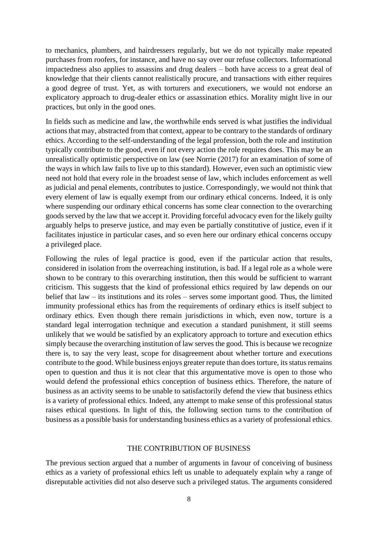to mechanics, plumbers, and hairdressers regularly, but we do not typically make repeated purchases from roofers, for instance, and have no say over our refuse collectors. Informational impactedness also applies to assassins and drug dealers – both have access to a great deal of knowledge that their clients cannot realistically procure, and transactions with either requires a good degree of trust. Yet, as with torturers and executioners, we would not endorse an explicatory approach to drug-dealer ethics or assassination ethics. Morality might live in our practices, but only in the good ones.

In fields such as medicine and law, the worthwhile ends served is what justifies the individual actions that may, abstracted from that context, appear to be contrary to the standards of ordinary ethics. According to the self-understanding of the legal profession, both the role and institution typically contribute to the good, even if not every action the role requires does. This may be an unrealistically optimistic perspective on law (see Norrie (2017) for an examination of some of the ways in which law fails to live up to this standard). However, even such an optimistic view need not hold that every role in the broadest sense of law, which includes enforcement as well as judicial and penal elements, contributes to justice. Correspondingly, we would not think that every element of law is equally exempt from our ordinary ethical concerns. Indeed, it is only where suspending our ordinary ethical concerns has some clear connection to the overarching goods served by the law that we accept it. Providing forceful advocacy even for the likely guilty arguably helps to preserve justice, and may even be partially constitutive of justice, even if it facilitates injustice in particular cases, and so even here our ordinary ethical concerns occupy a privileged place.

Following the rules of legal practice is good, even if the particular action that results, considered in isolation from the overreaching institution, is bad. If a legal role as a whole were shown to be contrary to this overarching institution, then this would be sufficient to warrant criticism. This suggests that the kind of professional ethics required by law depends on our belief that law – its institutions and its roles – serves some important good. Thus, the limited immunity professional ethics has from the requirements of ordinary ethics is itself subject to ordinary ethics. Even though there remain jurisdictions in which, even now, torture is a standard legal interrogation technique and execution a standard punishment, it still seems unlikely that we would be satisfied by an explicatory approach to torture and execution ethics simply because the overarching institution of law serves the good. This is because we recognize there is, to say the very least, scope for disagreement about whether torture and executions contribute to the good. While business enjoys greater repute than does torture, its status remains open to question and thus it is not clear that this argumentative move is open to those who would defend the professional ethics conception of business ethics. Therefore, the nature of business as an activity seems to be unable to satisfactorily defend the view that business ethics is a variety of professional ethics. Indeed, any attempt to make sense of this professional status raises ethical questions. In light of this, the following section turns to the contribution of business as a possible basis for understanding business ethics as a variety of professional ethics.

# THE CONTRIBUTION OF BUSINESS

The previous section argued that a number of arguments in favour of conceiving of business ethics as a variety of professional ethics left us unable to adequately explain why a range of disreputable activities did not also deserve such a privileged status. The arguments considered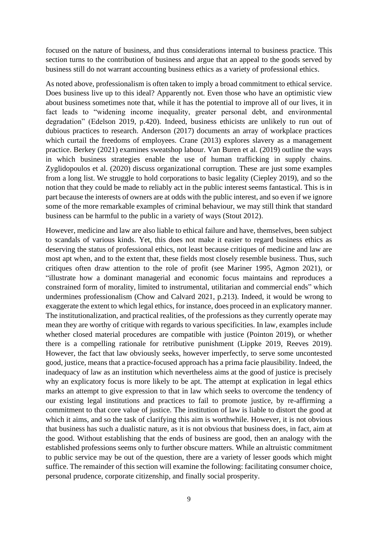focused on the nature of business, and thus considerations internal to business practice. This section turns to the contribution of business and argue that an appeal to the goods served by business still do not warrant accounting business ethics as a variety of professional ethics.

As noted above, professionalism is often taken to imply a broad commitment to ethical service. Does business live up to this ideal? Apparently not. Even those who have an optimistic view about business sometimes note that, while it has the potential to improve all of our lives, it in fact leads to "widening income inequality, greater personal debt, and environmental degradation" (Edelson 2019, p.420). Indeed, business ethicists are unlikely to run out of dubious practices to research. Anderson (2017) documents an array of workplace practices which curtail the freedoms of employees. Crane (2013) explores slavery as a management practice. Berkey (2021) examines sweatshop labour. Van Buren et al. (2019) outline the ways in which business strategies enable the use of human trafficking in supply chains. Zyglidopoulos et al. (2020) discuss organizational corruption. These are just some examples from a long list. We struggle to hold corporations to basic legality (Ciepley 2019), and so the notion that they could be made to reliably act in the public interest seems fantastical. This is in part because the interests of owners are at odds with the public interest, and so even if we ignore some of the more remarkable examples of criminal behaviour, we may still think that standard business can be harmful to the public in a variety of ways (Stout 2012).

However, medicine and law are also liable to ethical failure and have, themselves, been subject to scandals of various kinds. Yet, this does not make it easier to regard business ethics as deserving the status of professional ethics, not least because critiques of medicine and law are most apt when, and to the extent that, these fields most closely resemble business. Thus, such critiques often draw attention to the role of profit (see Mariner 1995, Agmon 2021), or "illustrate how a dominant managerial and economic focus maintains and reproduces a constrained form of morality, limited to instrumental, utilitarian and commercial ends" which undermines professionalism (Chow and Calvard 2021, p.213). Indeed, it would be wrong to exaggerate the extent to which legal ethics, for instance, does proceed in an explicatory manner. The institutionalization, and practical realities, of the professions as they currently operate may mean they are worthy of critique with regards to various specificities. In law, examples include whether closed material procedures are compatible with justice (Pointon 2019), or whether there is a compelling rationale for retributive punishment (Lippke 2019, Reeves 2019). However, the fact that law obviously seeks, however imperfectly, to serve some uncontested good, justice, means that a practice-focused approach has a prima facie plausibility. Indeed, the inadequacy of law as an institution which nevertheless aims at the good of justice is precisely why an explicatory focus is more likely to be apt. The attempt at explication in legal ethics marks an attempt to give expression to that in law which seeks to overcome the tendency of our existing legal institutions and practices to fail to promote justice, by re-affirming a commitment to that core value of justice. The institution of law is liable to distort the good at which it aims, and so the task of clarifying this aim is worthwhile. However, it is not obvious that business has such a dualistic nature, as it is not obvious that business does, in fact, aim at the good. Without establishing that the ends of business are good, then an analogy with the established professions seems only to further obscure matters. While an altruistic commitment to public service may be out of the question, there are a variety of lesser goods which might suffice. The remainder of this section will examine the following: facilitating consumer choice, personal prudence, corporate citizenship, and finally social prosperity.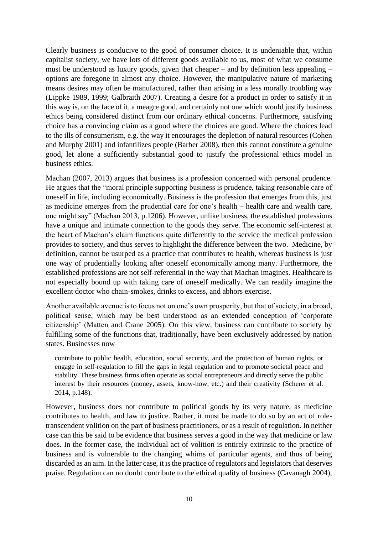Clearly business is conducive to the good of consumer choice. It is undeniable that, within capitalist society, we have lots of different goods available to us, most of what we consume must be understood as luxury goods, given that cheaper – and by definition less appealing – options are foregone in almost any choice. However, the manipulative nature of marketing means desires may often be manufactured, rather than arising in a less morally troubling way (Lippke 1989, 1999; Galbraith 2007). Creating a desire for a product in order to satisfy it in this way is, on the face of it, a meagre good, and certainly not one which would justify business ethics being considered distinct from our ordinary ethical concerns. Furthermore, satisfying choice has a convincing claim as a good where the choices are good. Where the choices lead to the ills of consumerism, e.g. the way it encourages the depletion of natural resources (Cohen and Murphy 2001) and infantilizes people (Barber 2008), then this cannot constitute a genuine good, let alone a sufficiently substantial good to justify the professional ethics model in business ethics.

Machan (2007, 2013) argues that business is a profession concerned with personal prudence. He argues that the "moral principle supporting business is prudence, taking reasonable care of oneself in life, including economically. Business is the profession that emerges from this, just as medicine emerges from the prudential care for one's health – health care and wealth care, one might say" (Machan 2013, p.1206). However, unlike business, the established professions have a unique and intimate connection to the goods they serve. The economic self-interest at the heart of Machan's claim functions quite differently to the service the medical profession provides to society, and thus serves to highlight the difference between the two. Medicine, by definition, cannot be usurped as a practice that contributes to health, whereas business is just one way of prudentially looking after oneself economically among many. Furthermore, the established professions are not self-referential in the way that Machan imagines. Healthcare is not especially bound up with taking care of oneself medically. We can readily imagine the excellent doctor who chain-smokes, drinks to excess, and abhors exercise.

Another available avenue is to focus not on one's own prosperity, but that of society, in a broad, political sense, which may be best understood as an extended conception of 'corporate citizenship' (Matten and Crane 2005). On this view, business can contribute to society by fulfilling some of the functions that, traditionally, have been exclusively addressed by nation states. Businesses now

contribute to public health, education, social security, and the protection of human rights, or engage in self-regulation to fill the gaps in legal regulation and to promote societal peace and stability. These business firms often operate as social entrepreneurs and directly serve the public interest by their resources (money, assets, know-how, etc.) and their creativity (Scherer et al. 2014, p.148).

However, business does not contribute to political goods by its very nature, as medicine contributes to health, and law to justice. Rather, it must be made to do so by an act of roletranscendent volition on the part of business practitioners, or as a result of regulation. In neither case can this be said to be evidence that business serves a good in the way that medicine or law does. In the former case, the individual act of volition is entirely extrinsic to the practice of business and is vulnerable to the changing whims of particular agents, and thus of being discarded as an aim. In the latter case, it is the practice of regulators and legislators that deserves praise. Regulation can no doubt contribute to the ethical quality of business (Cavanagh 2004),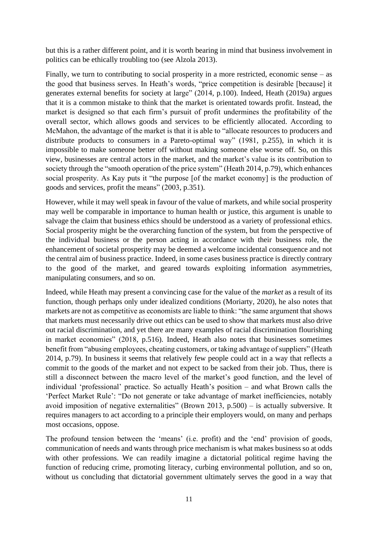but this is a rather different point, and it is worth bearing in mind that business involvement in politics can be ethically troubling too (see Alzola 2013).

Finally, we turn to contributing to social prosperity in a more restricted, economic sense – as the good that business serves. In Heath's words, "price competition is desirable [because] it generates external benefits for society at large" (2014, p.100). Indeed, Heath (2019a) argues that it is a common mistake to think that the market is orientated towards profit. Instead, the market is designed so that each firm's pursuit of profit undermines the profitability of the overall sector, which allows goods and services to be efficiently allocated. According to McMahon, the advantage of the market is that it is able to "allocate resources to producers and distribute products to consumers in a Pareto-optimal way" (1981, p.255), in which it is impossible to make someone better off without making someone else worse off. So, on this view, businesses are central actors in the market, and the market's value is its contribution to society through the "smooth operation of the price system" (Heath 2014, p.79), which enhances social prosperity. As Kay puts it "the purpose [of the market economy] is the production of goods and services, profit the means" (2003, p.351).

However, while it may well speak in favour of the value of markets, and while social prosperity may well be comparable in importance to human health or justice, this argument is unable to salvage the claim that business ethics should be understood as a variety of professional ethics. Social prosperity might be the overarching function of the system, but from the perspective of the individual business or the person acting in accordance with their business role, the enhancement of societal prosperity may be deemed a welcome incidental consequence and not the central aim of business practice. Indeed, in some cases business practice is directly contrary to the good of the market, and geared towards exploiting information asymmetries, manipulating consumers, and so on.

Indeed, while Heath may present a convincing case for the value of the *market* as a result of its function, though perhaps only under idealized conditions (Moriarty, 2020), he also notes that markets are not as competitive as economists are liable to think: "the same argument that shows that markets must necessarily drive out ethics can be used to show that markets must also drive out racial discrimination, and yet there are many examples of racial discrimination flourishing in market economies" (2018, p.516). Indeed, Heath also notes that businesses sometimes benefit from "abusing employees, cheating customers, or taking advantage of suppliers" (Heath 2014, p.79). In business it seems that relatively few people could act in a way that reflects a commit to the goods of the market and not expect to be sacked from their job. Thus, there is still a disconnect between the macro level of the market's good function, and the level of individual 'professional' practice. So actually Heath's position – and what Brown calls the 'Perfect Market Rule': "Do not generate or take advantage of market inefficiencies, notably avoid imposition of negative externalities" (Brown 2013, p.500) – is actually subversive. It requires managers to act according to a principle their employers would, on many and perhaps most occasions, oppose.

The profound tension between the 'means' (i.e. profit) and the 'end' provision of goods, communication of needs and wants through price mechanism is what makes business so at odds with other professions. We can readily imagine a dictatorial political regime having the function of reducing crime, promoting literacy, curbing environmental pollution, and so on, without us concluding that dictatorial government ultimately serves the good in a way that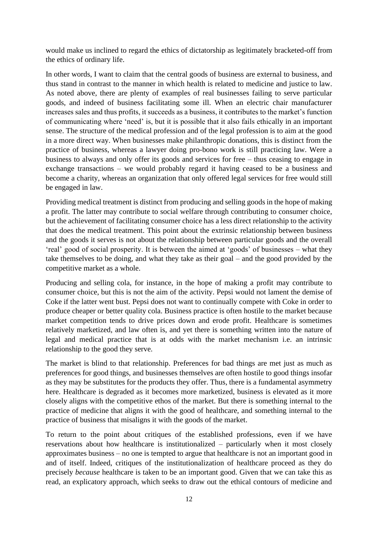would make us inclined to regard the ethics of dictatorship as legitimately bracketed-off from the ethics of ordinary life.

In other words, I want to claim that the central goods of business are external to business, and thus stand in contrast to the manner in which health is related to medicine and justice to law. As noted above, there are plenty of examples of real businesses failing to serve particular goods, and indeed of business facilitating some ill. When an electric chair manufacturer increases sales and thus profits, it succeeds as a business, it contributes to the market's function of communicating where 'need' is, but it is possible that it also fails ethically in an important sense. The structure of the medical profession and of the legal profession is to aim at the good in a more direct way. When businesses make philanthropic donations, this is distinct from the practice of business, whereas a lawyer doing pro-bono work is still practicing law. Were a business to always and only offer its goods and services for free – thus ceasing to engage in exchange transactions – we would probably regard it having ceased to be a business and become a charity, whereas an organization that only offered legal services for free would still be engaged in law.

Providing medical treatment is distinct from producing and selling goods in the hope of making a profit. The latter may contribute to social welfare through contributing to consumer choice, but the achievement of facilitating consumer choice has a less direct relationship to the activity that does the medical treatment. This point about the extrinsic relationship between business and the goods it serves is not about the relationship between particular goods and the overall 'real' good of social prosperity. It is between the aimed at 'goods' of businesses – what they take themselves to be doing, and what they take as their goal – and the good provided by the competitive market as a whole.

Producing and selling cola, for instance, in the hope of making a profit may contribute to consumer choice, but this is not the aim of the activity. Pepsi would not lament the demise of Coke if the latter went bust. Pepsi does not want to continually compete with Coke in order to produce cheaper or better quality cola. Business practice is often hostile to the market because market competition tends to drive prices down and erode profit. Healthcare is sometimes relatively marketized, and law often is, and yet there is something written into the nature of legal and medical practice that is at odds with the market mechanism i.e. an intrinsic relationship to the good they serve.

The market is blind to that relationship. Preferences for bad things are met just as much as preferences for good things, and businesses themselves are often hostile to good things insofar as they may be substitutes for the products they offer. Thus, there is a fundamental asymmetry here. Healthcare is degraded as it becomes more marketized, business is elevated as it more closely aligns with the competitive ethos of the market. But there is something internal to the practice of medicine that aligns it with the good of healthcare, and something internal to the practice of business that misaligns it with the goods of the market.

To return to the point about critiques of the established professions, even if we have reservations about how healthcare is institutionalized – particularly when it most closely approximates business – no one is tempted to argue that healthcare is not an important good in and of itself. Indeed, critiques of the institutionalization of healthcare proceed as they do precisely *because* healthcare is taken to be an important good. Given that we can take this as read, an explicatory approach, which seeks to draw out the ethical contours of medicine and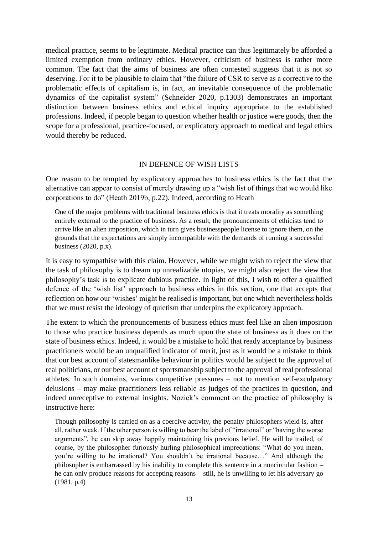medical practice, seems to be legitimate. Medical practice can thus legitimately be afforded a limited exemption from ordinary ethics. However, criticism of business is rather more common. The fact that the aims of business are often contested suggests that it is not so deserving. For it to be plausible to claim that "the failure of CSR to serve as a corrective to the problematic effects of capitalism is, in fact, an inevitable consequence of the problematic dynamics of the capitalist system" (Schneider 2020, p.1303) demonstrates an important distinction between business ethics and ethical inquiry appropriate to the established professions. Indeed, if people began to question whether health or justice were goods, then the scope for a professional, practice-focused, or explicatory approach to medical and legal ethics would thereby be reduced.

#### IN DEFENCE OF WISH LISTS

One reason to be tempted by explicatory approaches to business ethics is the fact that the alternative can appear to consist of merely drawing up a "wish list of things that we would like corporations to do" (Heath 2019b, p.22). Indeed, according to Heath

One of the major problems with traditional business ethics is that it treats morality as something entirely external to the practice of business. As a result, the pronouncements of ethicists tend to arrive like an alien imposition, which in turn gives businesspeople license to ignore them, on the grounds that the expectations are simply incompatible with the demands of running a successful business (2020, p.x).

It is easy to sympathise with this claim. However, while we might wish to reject the view that the task of philosophy is to dream up unrealizable utopias, we might also reject the view that philosophy's task is to explicate dubious practice. In light of this, I wish to offer a qualified defence of the 'wish list' approach to business ethics in this section, one that accepts that reflection on how our 'wishes' might be realised is important, but one which nevertheless holds that we must resist the ideology of quietism that underpins the explicatory approach.

The extent to which the pronouncements of business ethics must feel like an alien imposition to those who practice business depends as much upon the state of business as it does on the state of business ethics. Indeed, it would be a mistake to hold that ready acceptance by business practitioners would be an unqualified indicator of merit, just as it would be a mistake to think that our best account of statesmanlike behaviour in politics would be subject to the approval of real politicians, or our best account of sportsmanship subject to the approval of real professional athletes. In such domains, various competitive pressures – not to mention self-exculpatory delusions – may make practitioners less reliable as judges of the practices in question, and indeed unreceptive to external insights. Nozick's comment on the practice of philosophy is instructive here:

Though philosophy is carried on as a coercive activity, the penalty philosophers wield is, after all, rather weak. If the other person is willing to bear the label of "irrational" or "having the worse arguments", he can skip away happily maintaining his previous belief. He will be trailed, of course, by the philosopher furiously hurling philosophical imprecations: "What do you mean, you're willing to be irrational? You shouldn't be irrational because…" And although the philosopher is embarrassed by his inability to complete this sentence in a noncircular fashion – he can only produce reasons for accepting reasons – still, he is unwilling to let his adversary go (1981, p.4)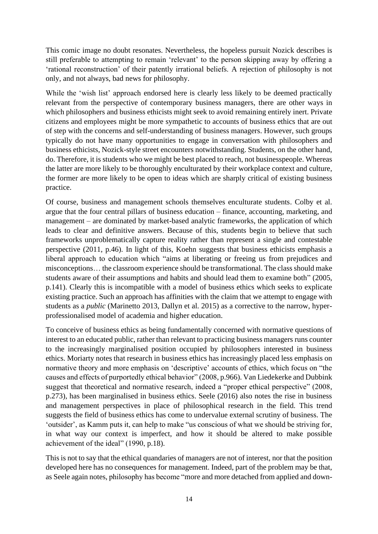This comic image no doubt resonates. Nevertheless, the hopeless pursuit Nozick describes is still preferable to attempting to remain 'relevant' to the person skipping away by offering a 'rational reconstruction' of their patently irrational beliefs. A rejection of philosophy is not only, and not always, bad news for philosophy.

While the 'wish list' approach endorsed here is clearly less likely to be deemed practically relevant from the perspective of contemporary business managers, there are other ways in which philosophers and business ethicists might seek to avoid remaining entirely inert. Private citizens and employees might be more sympathetic to accounts of business ethics that are out of step with the concerns and self-understanding of business managers. However, such groups typically do not have many opportunities to engage in conversation with philosophers and business ethicists, Nozick-style street encounters notwithstanding. Students, on the other hand, do. Therefore, it is students who we might be best placed to reach, not businesspeople. Whereas the latter are more likely to be thoroughly enculturated by their workplace context and culture, the former are more likely to be open to ideas which are sharply critical of existing business practice.

Of course, business and management schools themselves enculturate students. Colby et al. argue that the four central pillars of business education – finance, accounting, marketing, and management – are dominated by market-based analytic frameworks, the application of which leads to clear and definitive answers. Because of this, students begin to believe that such frameworks unproblematically capture reality rather than represent a single and contestable perspective (2011, p.46). In light of this, Koehn suggests that business ethicists emphasis a liberal approach to education which "aims at liberating or freeing us from prejudices and misconceptions… the classroom experience should be transformational. The class should make students aware of their assumptions and habits and should lead them to examine both" (2005, p.141). Clearly this is incompatible with a model of business ethics which seeks to explicate existing practice. Such an approach has affinities with the claim that we attempt to engage with students as a *public* (Marinetto 2013, Dallyn et al. 2015) as a corrective to the narrow, hyperprofessionalised model of academia and higher education.

To conceive of business ethics as being fundamentally concerned with normative questions of interest to an educated public, rather than relevant to practicing business managers runs counter to the increasingly marginalised position occupied by philosophers interested in business ethics. Moriarty notes that research in business ethics has increasingly placed less emphasis on normative theory and more emphasis on 'descriptive' accounts of ethics, which focus on "the causes and effects of purportedly ethical behavior" (2008, p.966). Van Liedekerke and Dubbink suggest that theoretical and normative research, indeed a "proper ethical perspective" (2008, p.273), has been marginalised in business ethics. Seele (2016) also notes the rise in business and management perspectives in place of philosophical research in the field. This trend suggests the field of business ethics has come to undervalue external scrutiny of business. The 'outsider', as Kamm puts it, can help to make "us conscious of what we should be striving for, in what way our context is imperfect, and how it should be altered to make possible achievement of the ideal" (1990, p.18).

This is not to say that the ethical quandaries of managers are not of interest, nor that the position developed here has no consequences for management. Indeed, part of the problem may be that, as Seele again notes, philosophy has become "more and more detached from applied and down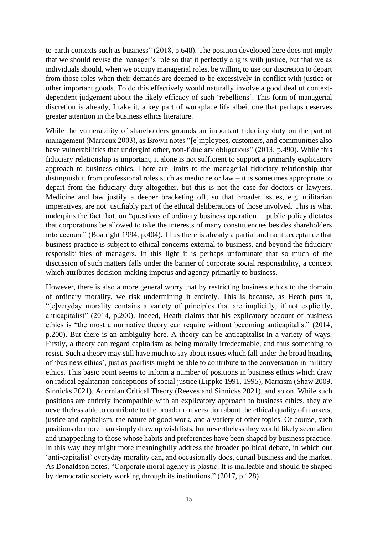to-earth contexts such as business" (2018, p.648). The position developed here does not imply that we should revise the manager's role so that it perfectly aligns with justice, but that we as individuals should, when we occupy managerial roles, be willing to use our discretion to depart from those roles when their demands are deemed to be excessively in conflict with justice or other important goods. To do this effectively would naturally involve a good deal of contextdependent judgement about the likely efficacy of such 'rebellions'. This form of managerial discretion is already, I take it, a key part of workplace life albeit one that perhaps deserves greater attention in the business ethics literature.

While the vulnerability of shareholders grounds an important fiduciary duty on the part of management (Marcoux 2003), as Brown notes "[e]mployees, customers, and communities also have vulnerabilities that undergird other, non-fiduciary obligations" (2013, p.490). While this fiduciary relationship is important, it alone is not sufficient to support a primarily explicatory approach to business ethics. There are limits to the managerial fiduciary relationship that distinguish it from professional roles such as medicine or law – it is sometimes appropriate to depart from the fiduciary duty altogether, but this is not the case for doctors or lawyers. Medicine and law justify a deeper bracketing off, so that broader issues, e.g. utilitarian imperatives, are not justifiably part of the ethical deliberations of those involved. This is what underpins the fact that, on "questions of ordinary business operation… public policy dictates that corporations be allowed to take the interests of many constituencies besides shareholders into account" (Boatright 1994, p.404). Thus there is already a partial and tacit acceptance that business practice is subject to ethical concerns external to business, and beyond the fiduciary responsibilities of managers. In this light it is perhaps unfortunate that so much of the discussion of such matters falls under the banner of corporate social responsibility, a concept which attributes decision-making impetus and agency primarily to business.

However, there is also a more general worry that by restricting business ethics to the domain of ordinary morality, we risk undermining it entirely. This is because, as Heath puts it, "[e]veryday morality contains a variety of principles that are implicitly, if not explicitly, anticapitalist" (2014, p.200). Indeed, Heath claims that his explicatory account of business ethics is "the most a normative theory can require without becoming anticapitalist" (2014, p.200). But there is an ambiguity here. A theory can be anticapitalist in a variety of ways. Firstly, a theory can regard capitalism as being morally irredeemable, and thus something to resist. Such a theory may still have much to say about issues which fall under the broad heading of 'business ethics', just as pacifists might be able to contribute to the conversation in military ethics. This basic point seems to inform a number of positions in business ethics which draw on radical egalitarian conceptions of social justice (Lippke 1991, 1995), Marxism (Shaw 2009, Sinnicks 2021), Adornian Critical Theory (Reeves and Sinnicks 2021), and so on. While such positions are entirely incompatible with an explicatory approach to business ethics, they are nevertheless able to contribute to the broader conversation about the ethical quality of markets, justice and capitalism, the nature of good work, and a variety of other topics. Of course, such positions do more than simply draw up wish lists, but nevertheless they would likely seem alien and unappealing to those whose habits and preferences have been shaped by business practice. In this way they might more meaningfully address the broader political debate, in which our 'anti-capitalist' everyday morality can, and occasionally does, curtail business and the market. As Donaldson notes, "Corporate moral agency is plastic. It is malleable and should be shaped by democratic society working through its institutions." (2017, p.128)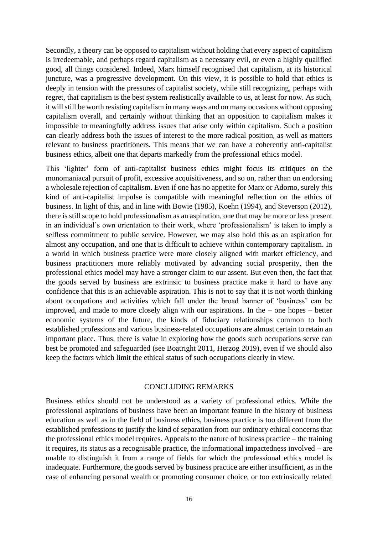Secondly, a theory can be opposed to capitalism without holding that every aspect of capitalism is irredeemable, and perhaps regard capitalism as a necessary evil, or even a highly qualified good, all things considered. Indeed, Marx himself recognised that capitalism, at its historical juncture, was a progressive development. On this view, it is possible to hold that ethics is deeply in tension with the pressures of capitalist society, while still recognizing, perhaps with regret, that capitalism is the best system realistically available to us, at least for now. As such, it will still be worth resisting capitalism in many ways and on many occasions without opposing capitalism overall, and certainly without thinking that an opposition to capitalism makes it impossible to meaningfully address issues that arise only within capitalism. Such a position can clearly address both the issues of interest to the more radical position, as well as matters relevant to business practitioners. This means that we can have a coherently anti-capitalist business ethics, albeit one that departs markedly from the professional ethics model.

This 'lighter' form of anti-capitalist business ethics might focus its critiques on the monomaniacal pursuit of profit, excessive acquisitiveness, and so on, rather than on endorsing a wholesale rejection of capitalism. Even if one has no appetite for Marx or Adorno, surely *this* kind of anti-capitalist impulse is compatible with meaningful reflection on the ethics of business. In light of this, and in line with Bowie (1985), Koehn (1994), and Steverson (2012), there is still scope to hold professionalism as an aspiration, one that may be more or less present in an individual's own orientation to their work, where 'professionalism' is taken to imply a selfless commitment to public service. However, we may also hold this as an aspiration for almost any occupation, and one that is difficult to achieve within contemporary capitalism. In a world in which business practice were more closely aligned with market efficiency, and business practitioners more reliably motivated by advancing social prosperity, then the professional ethics model may have a stronger claim to our assent. But even then, the fact that the goods served by business are extrinsic to business practice make it hard to have any confidence that this is an achievable aspiration. This is not to say that it is not worth thinking about occupations and activities which fall under the broad banner of 'business' can be improved, and made to more closely align with our aspirations. In the – one hopes – better economic systems of the future, the kinds of fiduciary relationships common to both established professions and various business-related occupations are almost certain to retain an important place. Thus, there is value in exploring how the goods such occupations serve can best be promoted and safeguarded (see Boatright 2011, Herzog 2019), even if we should also keep the factors which limit the ethical status of such occupations clearly in view.

#### CONCLUDING REMARKS

Business ethics should not be understood as a variety of professional ethics. While the professional aspirations of business have been an important feature in the history of business education as well as in the field of business ethics, business practice is too different from the established professions to justify the kind of separation from our ordinary ethical concerns that the professional ethics model requires. Appeals to the nature of business practice – the training it requires, its status as a recognisable practice, the informational impactedness involved – are unable to distinguish it from a range of fields for which the professional ethics model is inadequate. Furthermore, the goods served by business practice are either insufficient, as in the case of enhancing personal wealth or promoting consumer choice, or too extrinsically related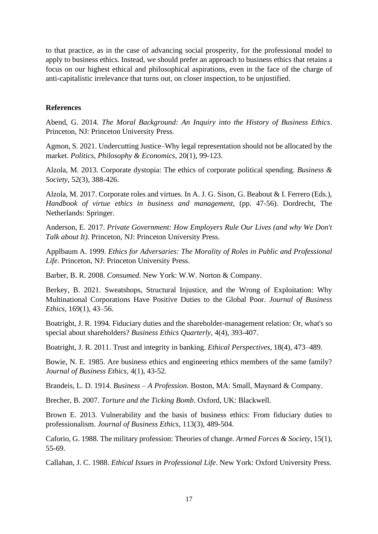to that practice, as in the case of advancing social prosperity, for the professional model to apply to business ethics. Instead, we should prefer an approach to business ethics that retains a focus on our highest ethical and philosophical aspirations, even in the face of the charge of anti-capitalistic irrelevance that turns out, on closer inspection, to be unjustified.

# **References**

Abend, G. 2014. *The Moral Background: An Inquiry into the History of Business Ethics*. Princeton, NJ: Princeton University Press.

Agmon, S. 2021. Undercutting Justice–Why legal representation should not be allocated by the market. *Politics, Philosophy & Economics*, 20(1), 99-123.

Alzola, M. 2013. Corporate dystopia: The ethics of corporate political spending. *Business & Society*, 52(3), 388-426.

Alzola, M. 2017. Corporate roles and virtues. In A. J. G. Sison, G. Beabout & I. Ferrero (Eds.), *Handbook of virtue ethics in business and management*, (pp. 47-56). Dordrecht, The Netherlands: Springer.

Anderson, E. 2017. *Private Government: How Employers Rule Our Lives (and why We Don't Talk about It).* Princeton, NJ: Princeton University Press.

Applbaum A. 1999. *Ethics for Adversaries: The Morality of Roles in Public and Professional Life*. Princeton, NJ: Princeton University Press.

Barber, B. R. 2008. *Consumed*. New York: W.W. Norton & Company.

Berkey, B. 2021. Sweatshops, Structural Injustice, and the Wrong of Exploitation: Why Multinational Corporations Have Positive Duties to the Global Poor. *Journal of Business Ethics*, 169(1), 43–56.

Boatright, J. R. 1994. Fiduciary duties and the shareholder-management relation: Or, what's so special about shareholders? *Business Ethics Quarterly*, 4(4), 393-407.

Boatright, J. R. 2011. Trust and integrity in banking. *Ethical Perspectives*, 18(4), 473–489.

Bowie, N. E. 1985. Are business ethics and engineering ethics members of the same family? *Journal of Business Ethics*, 4(1), 43-52.

Brandeis, L. D. 1914. *Business – A Profession*. Boston, MA: Small, Maynard & Company.

Brecher, B. 2007. *Torture and the Ticking Bomb*. Oxford, UK: Blackwell.

Brown E. 2013. Vulnerability and the basis of business ethics: From fiduciary duties to professionalism. *Journal of Business Ethics*, 113(3), 489-504.

Caforio, G. 1988. The military profession: Theories of change. *Armed Forces & Society*, 15(1), 55-69.

Callahan, J. C. 1988. *Ethical Issues in Professional Life*. New York: Oxford University Press.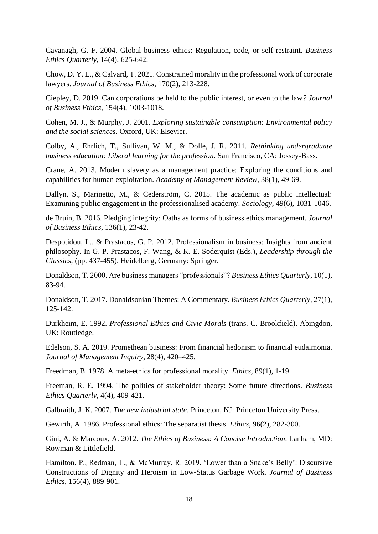Cavanagh, G. F. 2004. Global business ethics: Regulation, code, or self-restraint. *Business Ethics Quarterly*, 14(4), 625-642.

Chow, D. Y. L., & Calvard, T. 2021. Constrained morality in the professional work of corporate lawyers. *Journal of Business Ethics*, 170(2), 213-228.

Ciepley, D. 2019. Can corporations be held to the public interest, or even to the law*? Journal of Business Ethics*, 154(4), 1003-1018.

Cohen, M. J., & Murphy, J. 2001. *Exploring sustainable consumption: Environmental policy and the social sciences*. Oxford, UK: Elsevier.

Colby, A., Ehrlich, T., Sullivan, W. M., & Dolle, J. R. 2011. *Rethinking undergraduate business education: Liberal learning for the profession*. San Francisco, CA: Jossey-Bass.

Crane, A. 2013. Modern slavery as a management practice: Exploring the conditions and capabilities for human exploitation. *Academy of Management Review*, 38(1), 49-69.

Dallyn, S., Marinetto, M., & Cederström, C. 2015. The academic as public intellectual: Examining public engagement in the professionalised academy. *Sociology*, 49(6), 1031-1046.

de Bruin, B. 2016. Pledging integrity: Oaths as forms of business ethics management. *Journal of Business Ethics*, 136(1), 23-42.

Despotidou, L., & Prastacos, G. P. 2012. Professionalism in business: Insights from ancient philosophy. In G. P. Prastacos, F. Wang, & K. E. Soderquist (Eds.), *Leadership through the Classics*, (pp. 437-455). Heidelberg, Germany: Springer.

Donaldson, T. 2000. Are business managers "professionals"? *Business Ethics Quarterly*, 10(1), 83-94.

Donaldson, T. 2017. Donaldsonian Themes: A Commentary. *Business Ethics Quarterly*, 27(1), 125-142.

Durkheim, E. 1992. *Professional Ethics and Civic Morals* (trans. C. Brookfield). Abingdon, UK: Routledge.

Edelson, S. A. 2019. Promethean business: From financial hedonism to financial eudaimonia. *Journal of Management Inquiry*, 28(4), 420–425.

Freedman, B. 1978. A meta-ethics for professional morality. *Ethics*, 89(1), 1-19.

Freeman, R. E. 1994. The politics of stakeholder theory: Some future directions. *Business Ethics Quarterly*, 4(4), 409-421.

Galbraith, J. K. 2007. *The new industrial state*. Princeton, NJ: Princeton University Press.

Gewirth, A. 1986. Professional ethics: The separatist thesis. *Ethics*, 96(2), 282-300.

Gini, A. & Marcoux, A. 2012. *The Ethics of Business: A Concise Introduction*. Lanham, MD: Rowman & Littlefield.

Hamilton, P., Redman, T., & McMurray, R. 2019. 'Lower than a Snake's Belly': Discursive Constructions of Dignity and Heroism in Low-Status Garbage Work. *Journal of Business Ethics*, 156(4), 889-901.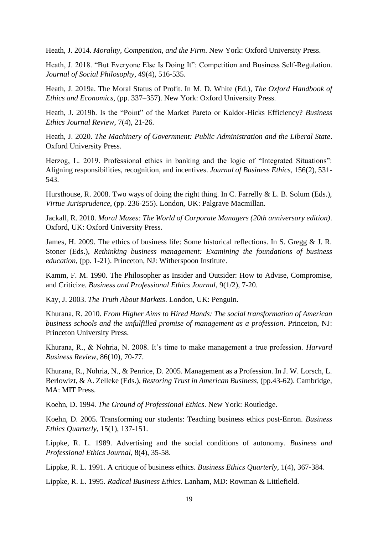Heath, J. 2014. *Morality, Competition, and the Firm*. New York: Oxford University Press.

Heath, J. 2018. "But Everyone Else Is Doing It": Competition and Business Self-Regulation. *Journal of Social Philosophy*, 49(4), 516-535.

Heath, J. 2019a. The Moral Status of Profit. In M. D. White (Ed.), *The Oxford Handbook of Ethics and Economics*, (pp. 337–357). New York: Oxford University Press.

Heath, J. 2019b. Is the "Point" of the Market Pareto or Kaldor-Hicks Efficiency? *Business Ethics Journal Review*, 7(4), 21-26.

Heath, J. 2020. *The Machinery of Government: Public Administration and the Liberal State*. Oxford University Press.

Herzog, L. 2019. Professional ethics in banking and the logic of "Integrated Situations": Aligning responsibilities, recognition, and incentives. *Journal of Business Ethics*, 156(2), 531- 543.

Hursthouse, R. 2008. Two ways of doing the right thing. In C. Farrelly & L. B. Solum (Eds.), *Virtue Jurisprudence*, (pp. 236-255). London, UK: Palgrave Macmillan.

Jackall, R. 2010. *Moral Mazes: The World of Corporate Managers (20th anniversary edition)*. Oxford, UK: Oxford University Press.

James, H. 2009. The ethics of business life: Some historical reflections. In S. Gregg & J. R. Stoner (Eds.), *Rethinking business management: Examining the foundations of business education*, (pp. 1-21). Princeton, NJ: Witherspoon Institute.

Kamm, F. M. 1990. The Philosopher as Insider and Outsider: How to Advise, Compromise, and Criticize. *Business and Professional Ethics Journal*, 9(1/2), 7-20.

Kay, J. 2003. *The Truth About Markets*. London, UK: Penguin.

Khurana, R. 2010. *From Higher Aims to Hired Hands: The social transformation of American business schools and the unfulfilled promise of management as a profession*. Princeton, NJ: Princeton University Press.

Khurana, R., & Nohria, N. 2008. It's time to make management a true profession. *Harvard Business Review*, 86(10), 70-77.

Khurana, R., Nohria, N., & Penrice, D. 2005. Management as a Profession. In J. W. Lorsch, L. Berlowizt, & A. Zelleke (Eds.), *Restoring Trust in American Business*, (pp.43-62). Cambridge, MA: MIT Press.

Koehn, D. 1994. *The Ground of Professional Ethics*. New York: Routledge.

Koehn, D. 2005. Transforming our students: Teaching business ethics post-Enron. *Business Ethics Quarterly*, 15(1), 137-151.

Lippke, R. L. 1989. Advertising and the social conditions of autonomy. *Business and Professional Ethics Journal*, 8(4), 35-58.

Lippke, R. L. 1991. A critique of business ethics. *Business Ethics Quarterly*, 1(4), 367-384.

Lippke, R. L. 1995. *Radical Business Ethics*. Lanham, MD: Rowman & Littlefield.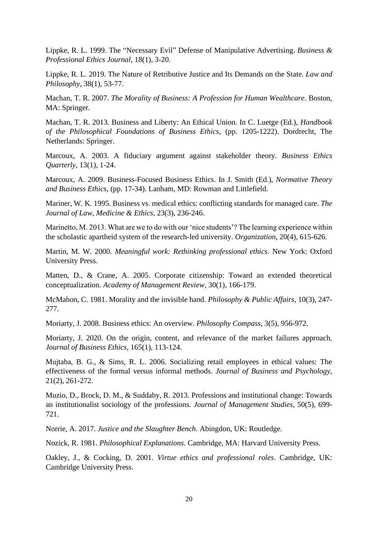Lippke, R. L. 1999. The "Necessary Evil" Defense of Manipulative Advertising. *Business & Professional Ethics Journal*, 18(1), 3-20.

Lippke, R. L. 2019. The Nature of Retributive Justice and Its Demands on the State. *Law and Philosophy*, 38(1), 53-77.

Machan, T. R. 2007. *The Morality of Business: A Profession for Human Wealthcare*. Boston, MA: Springer.

Machan, T. R. 2013. Business and Liberty: An Ethical Union. In C. Luetge (Ed.), *Handbook of the Philosophical Foundations of Business Ethics*, (pp. 1205-1222). Dordrecht, The Netherlands: Springer.

Marcoux, A. 2003. A fiduciary argument against stakeholder theory. *Business Ethics Quarterly*, 13(1), 1-24.

Marcoux, A. 2009. Business-Focused Business Ethics. In J. Smith (Ed.), *Normative Theory and Business Ethics*, (pp. 17-34). Lanham, MD: Rowman and Littlefield.

Mariner, W. K. 1995. Business vs. medical ethics: conflicting standards for managed care. *The Journal of Law, Medicine & Ethics*, 23(3), 236-246.

Marinetto, M. 2013. What are we to do with our 'nice students'? The learning experience within the scholastic apartheid system of the research-led university. *Organization*, 20(4), 615-626.

Martin, M. W. 2000. *Meaningful work: Rethinking professional ethics*. New York: Oxford University Press.

Matten, D., & Crane, A. 2005. Corporate citizenship: Toward an extended theoretical conceptualization. *Academy of Management Review*, 30(1), 166-179.

McMahon, C. 1981. Morality and the invisible hand. *Philosophy & Public Affairs*, 10(3), 247- 277.

Moriarty, J. 2008. Business ethics: An overview. *Philosophy Compass*, 3(5), 956-972.

Moriarty, J. 2020. On the origin, content, and relevance of the market failures approach. *Journal of Business Ethics*, 165(1), 113-124.

Mujtaba, B. G., & Sims, R. L. 2006. Socializing retail employees in ethical values: The effectiveness of the formal versus informal methods. *Journal of Business and Psychology*, 21(2), 261-272.

Muzio, D., Brock, D. M., & Suddaby, R. 2013. Professions and institutional change: Towards an institutionalist sociology of the professions*. Journal of Management Studies*, 50(5), 699- 721.

Norrie, A. 2017. *Justice and the Slaughter Bench*. Abingdon, UK: Routledge.

Nozick, R. 1981. *Philosophical Explanations*. Cambridge, MA: Harvard University Press.

Oakley, J., & Cocking, D. 2001. *Virtue ethics and professional roles*. Cambridge, UK: Cambridge University Press.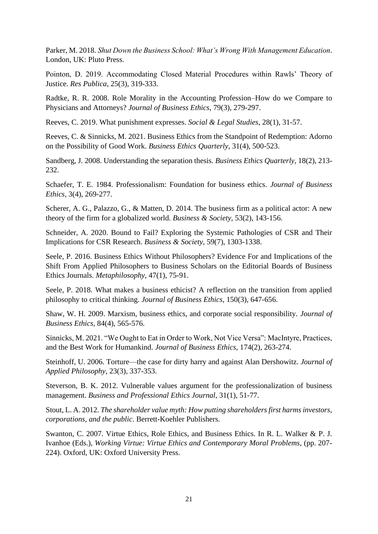Parker, M. 2018. *Shut Down the Business School: What's Wrong With Management Education*. London, UK: Pluto Press.

Pointon, D. 2019. Accommodating Closed Material Procedures within Rawls' Theory of Justice. *Res Publica*, 25(3), 319-333.

Radtke, R. R. 2008. Role Morality in the Accounting Profession–How do we Compare to Physicians and Attorneys? *Journal of Business Ethics*, 79(3), 279-297.

Reeves, C. 2019. What punishment expresses. *Social & Legal Studies*, 28(1), 31-57.

Reeves, C. & Sinnicks, M. 2021. Business Ethics from the Standpoint of Redemption: Adorno on the Possibility of Good Work. *Business Ethics Quarterly*, 31(4), 500-523.

Sandberg, J. 2008. Understanding the separation thesis. *Business Ethics Quarterly*, 18(2), 213- 232.

Schaefer, T. E. 1984. Professionalism: Foundation for business ethics. *Journal of Business Ethics*, 3(4), 269-277.

Scherer, A. G., Palazzo, G., & Matten, D. 2014. The business firm as a political actor: A new theory of the firm for a globalized world. *Business & Society*, 53(2), 143-156.

Schneider, A. 2020. Bound to Fail? Exploring the Systemic Pathologies of CSR and Their Implications for CSR Research. *Business & Society*, 59(7), 1303-1338.

Seele, P. 2016. Business Ethics Without Philosophers? Evidence For and Implications of the Shift From Applied Philosophers to Business Scholars on the Editorial Boards of Business Ethics Journals. *Metaphilosophy*, 47(1), 75-91.

Seele, P. 2018. What makes a business ethicist? A reflection on the transition from applied philosophy to critical thinking. *Journal of Business Ethics*, 150(3), 647-656.

Shaw, W. H. 2009. Marxism, business ethics, and corporate social responsibility. *Journal of Business Ethics*, 84(4), 565-576.

Sinnicks, M. 2021. "We Ought to Eat in Order to Work, Not Vice Versa": MacIntyre, Practices, and the Best Work for Humankind. *Journal of Business Ethics*, 174(2), 263-274.

Steinhoff, U. 2006. Torture—the case for dirty harry and against Alan Dershowitz. *Journal of Applied Philosophy*, 23(3), 337-353.

Steverson, B. K. 2012. Vulnerable values argument for the professionalization of business management. *Business and Professional Ethics Journal*, 31(1), 51-77.

Stout, L. A. 2012. *The shareholder value myth: How putting shareholders first harms investors, corporations, and the public*. Berrett-Koehler Publishers.

Swanton, C. 2007. Virtue Ethics, Role Ethics, and Business Ethics. In R. L. Walker & P. J. Ivanhoe (Eds.), *Working Virtue: Virtue Ethics and Contemporary Moral Problems*, (pp. 207- 224). Oxford, UK: Oxford University Press.